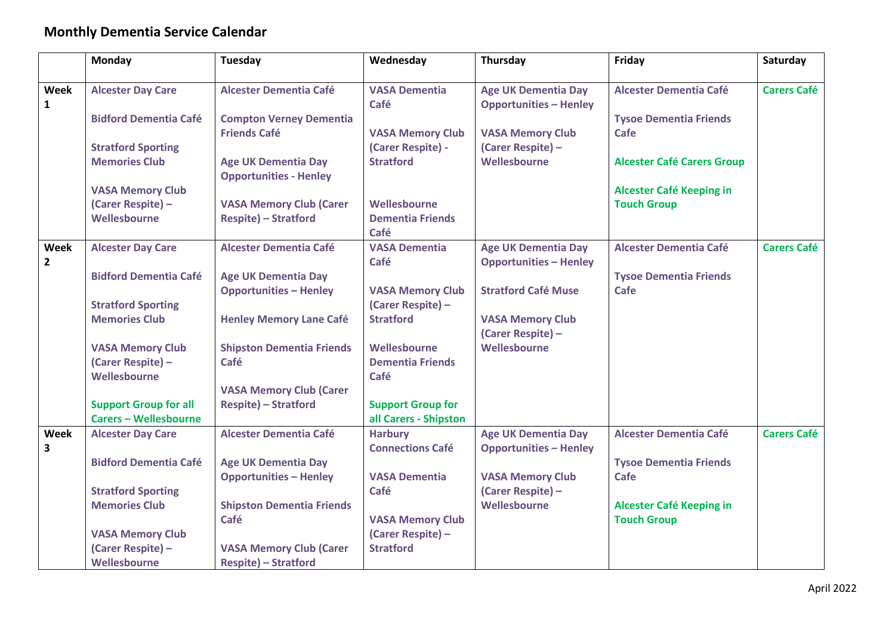## **Monthly Dementia Service Calendar**

|              | Monday                                       | Tuesday                                               | Wednesday                                    | Thursday                                     | Friday                                | Saturday           |
|--------------|----------------------------------------------|-------------------------------------------------------|----------------------------------------------|----------------------------------------------|---------------------------------------|--------------------|
|              |                                              |                                                       |                                              |                                              |                                       |                    |
| <b>Week</b>  | <b>Alcester Day Care</b>                     | <b>Alcester Dementia Café</b>                         | <b>VASA Dementia</b>                         | <b>Age UK Dementia Day</b>                   | <b>Alcester Dementia Café</b>         | <b>Carers Café</b> |
| $\mathbf{1}$ | <b>Bidford Dementia Café</b>                 |                                                       | Café                                         | <b>Opportunities - Henley</b>                |                                       |                    |
|              |                                              | <b>Compton Verney Dementia</b><br><b>Friends Café</b> |                                              |                                              | <b>Tysoe Dementia Friends</b><br>Cafe |                    |
|              | <b>Stratford Sporting</b>                    |                                                       | <b>VASA Memory Club</b><br>(Carer Respite) - | <b>VASA Memory Club</b><br>(Carer Respite) - |                                       |                    |
|              | <b>Memories Club</b>                         | <b>Age UK Dementia Day</b>                            | <b>Stratford</b>                             | Wellesbourne                                 | <b>Alcester Café Carers Group</b>     |                    |
|              |                                              | <b>Opportunities - Henley</b>                         |                                              |                                              |                                       |                    |
|              | <b>VASA Memory Club</b>                      |                                                       |                                              |                                              | Alcester Café Keeping in              |                    |
|              | (Carer Respite) -                            | <b>VASA Memory Club (Carer</b>                        | Wellesbourne                                 |                                              | <b>Touch Group</b>                    |                    |
|              | Wellesbourne                                 | <b>Respite) - Stratford</b>                           | <b>Dementia Friends</b>                      |                                              |                                       |                    |
|              |                                              |                                                       | Café                                         |                                              |                                       |                    |
| Week         | <b>Alcester Day Care</b>                     | <b>Alcester Dementia Café</b>                         | <b>VASA Dementia</b>                         | <b>Age UK Dementia Day</b>                   | <b>Alcester Dementia Café</b>         | <b>Carers Café</b> |
| $\mathbf{2}$ |                                              |                                                       | Café                                         | <b>Opportunities - Henley</b>                |                                       |                    |
|              | <b>Bidford Dementia Café</b>                 | <b>Age UK Dementia Day</b>                            |                                              |                                              | <b>Tysoe Dementia Friends</b>         |                    |
|              |                                              | <b>Opportunities - Henley</b>                         | <b>VASA Memory Club</b>                      | <b>Stratford Café Muse</b>                   | Cafe                                  |                    |
|              | <b>Stratford Sporting</b>                    |                                                       | (Carer Respite) -                            |                                              |                                       |                    |
|              | <b>Memories Club</b>                         | <b>Henley Memory Lane Café</b>                        | <b>Stratford</b>                             | <b>VASA Memory Club</b>                      |                                       |                    |
|              |                                              |                                                       | Wellesbourne                                 | (Carer Respite) -<br>Wellesbourne            |                                       |                    |
|              | <b>VASA Memory Club</b><br>(Carer Respite) - | <b>Shipston Dementia Friends</b><br>Café              | <b>Dementia Friends</b>                      |                                              |                                       |                    |
|              | Wellesbourne                                 |                                                       | Café                                         |                                              |                                       |                    |
|              |                                              | <b>VASA Memory Club (Carer</b>                        |                                              |                                              |                                       |                    |
|              | <b>Support Group for all</b>                 | <b>Respite) - Stratford</b>                           | <b>Support Group for</b>                     |                                              |                                       |                    |
|              | <b>Carers - Wellesbourne</b>                 |                                                       | all Carers - Shipston                        |                                              |                                       |                    |
| <b>Week</b>  | <b>Alcester Day Care</b>                     | <b>Alcester Dementia Café</b>                         | <b>Harbury</b>                               | <b>Age UK Dementia Day</b>                   | <b>Alcester Dementia Café</b>         | <b>Carers Café</b> |
| 3            |                                              |                                                       | <b>Connections Café</b>                      | <b>Opportunities - Henley</b>                |                                       |                    |
|              | <b>Bidford Dementia Café</b>                 | <b>Age UK Dementia Day</b>                            |                                              |                                              | <b>Tysoe Dementia Friends</b>         |                    |
|              |                                              | <b>Opportunities - Henley</b>                         | <b>VASA Dementia</b>                         | <b>VASA Memory Club</b>                      | Cafe                                  |                    |
|              | <b>Stratford Sporting</b>                    |                                                       | Café                                         | (Carer Respite) -                            |                                       |                    |
|              | <b>Memories Club</b>                         | <b>Shipston Dementia Friends</b>                      |                                              | Wellesbourne                                 | Alcester Café Keeping in              |                    |
|              |                                              | Café                                                  | <b>VASA Memory Club</b>                      |                                              | <b>Touch Group</b>                    |                    |
|              | <b>VASA Memory Club</b>                      |                                                       | (Carer Respite) -                            |                                              |                                       |                    |
|              | (Carer Respite) -                            | <b>VASA Memory Club (Carer</b>                        | <b>Stratford</b>                             |                                              |                                       |                    |
|              | Wellesbourne                                 | <b>Respite) - Stratford</b>                           |                                              |                                              |                                       |                    |